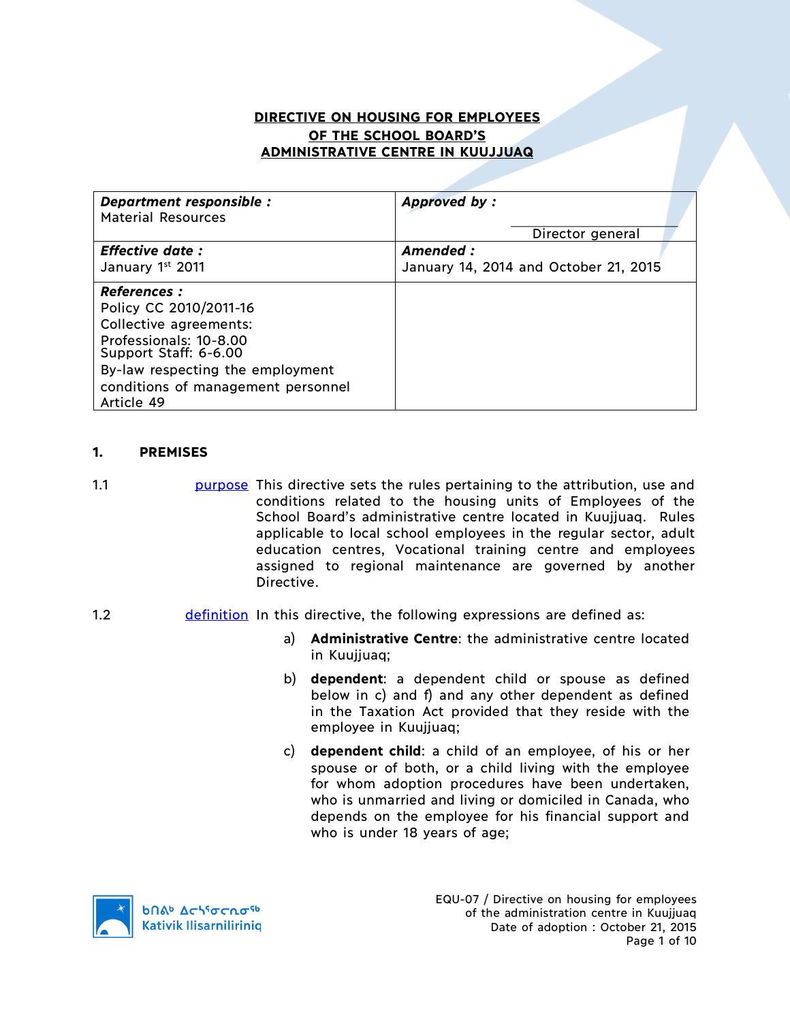# **DIRECTIVE ON HOUSING FOR EMPLOYEES OF THE SCHOOL BOARD'S ADMINISTRATIVE CENTRE IN KUUJJUAQ**

| Department responsible :<br><b>Material Resources</b> | Approved by:                          |
|-------------------------------------------------------|---------------------------------------|
|                                                       | Director general                      |
| <b>Effective date:</b>                                | Amended :                             |
| January 1st 2011                                      | January 14, 2014 and October 21, 2015 |
| <b>References :</b>                                   |                                       |
| Policy CC 2010/2011-16                                |                                       |
| Collective agreements:                                |                                       |
| Professionals: 10-8.00<br>Support Staff: 6-6.00       |                                       |
| By-law respecting the employment                      |                                       |
| conditions of management personnel                    |                                       |
| Article 49                                            |                                       |

#### **1. PREMISES**

- 1.1 purpose This directive sets the rules pertaining to the attribution, use and conditions related to the housing units of Employees of the School Board's administrative centre located in Kuujjuaq. Rules applicable to local school employees in the regular sector, adult education centres, Vocational training centre and employees assigned to regional maintenance are governed by another Directive.
- 1.2 **definition** In this directive, the following expressions are defined as:
	- a) **Administrative Centre**: the administrative centre located in Kuujjuaq;
	- b) **dependent**: a dependent child or spouse as defined below in c) and f) and any other dependent as defined in the Taxation Act provided that they reside with the employee in Kuujjuaq;
	- c) **dependent child**: a child of an employee, of his or her spouse or of both, or a child living with the employee for whom adoption procedures have been undertaken, who is unmarried and living or domiciled in Canada, who depends on the employee for his financial support and who is under 18 years of age;

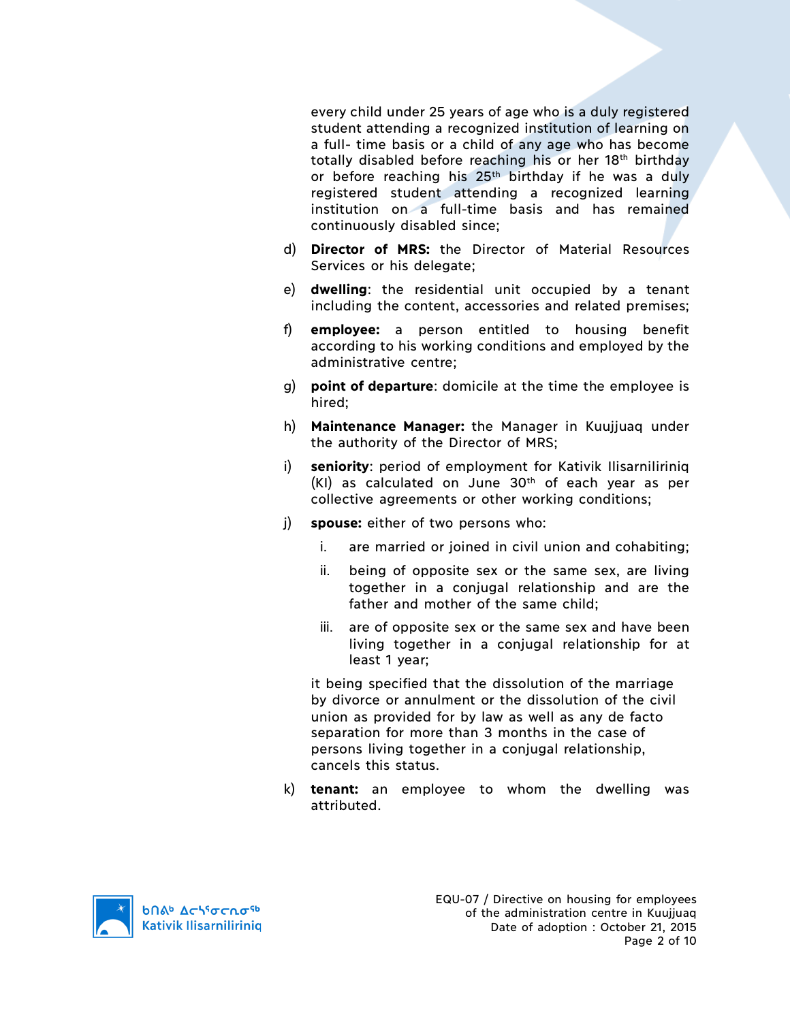every child under 25 years of age who is a duly registered student attending a recognized institution of learning on a full- time basis or a child of any age who has become totally disabled before reaching his or her 18th birthday or before reaching his 25<sup>th</sup> birthday if he was a duly registered student attending a recognized learning institution on a full-time basis and has remained continuously disabled since;

- d) **Director of MRS:** the Director of Material Resources Services or his delegate;
- e) **dwelling**: the residential unit occupied by a tenant including the content, accessories and related premises;
- f) **employee:** a person entitled to housing benefit according to his working conditions and employed by the administrative centre;
- g) **point of departure**: domicile at the time the employee is hired;
- h) **Maintenance Manager:** the Manager in Kuujjuaq under the authority of the Director of MRS;
- i) **seniority**: period of employment for Kativik Ilisarniliriniq  $(KI)$  as calculated on June 30<sup>th</sup> of each year as per collective agreements or other working conditions;
- j) **spouse:** either of two persons who:
	- i. are married or joined in civil union and cohabiting;
	- ii. being of opposite sex or the same sex, are living together in a conjugal relationship and are the father and mother of the same child;
	- iii. are of opposite sex or the same sex and have been living together in a conjugal relationship for at least 1 year;

it being specified that the dissolution of the marriage by divorce or annulment or the dissolution of the civil union as provided for by law as well as any de facto separation for more than 3 months in the case of persons living together in a conjugal relationship, cancels this status.

k) **tenant:** an employee to whom the dwelling was attributed.

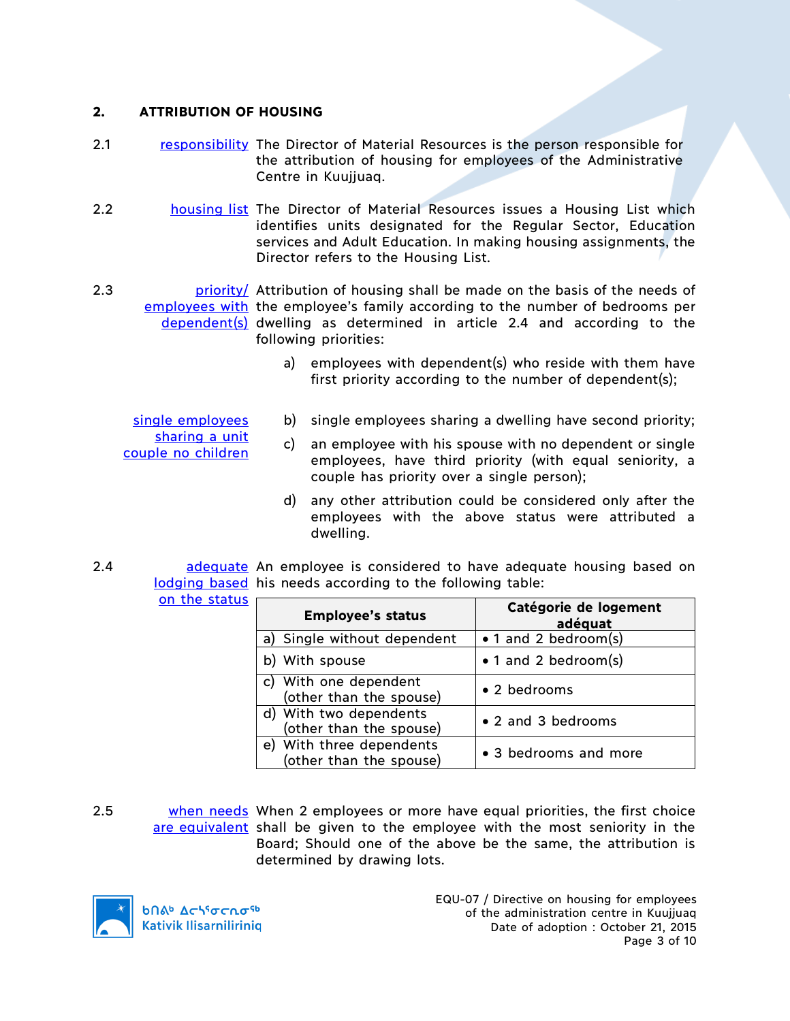#### **2. ATTRIBUTION OF HOUSING**

- 2.1 responsibility The Director of Material Resources is the person responsible for the attribution of housing for employees of the Administrative Centre in Kuujjuaq.
- 2.2 housing list The Director of Material Resources issues a Housing List which identifies units designated for the Regular Sector, Education services and Adult Education. In making housing assignments, the Director refers to the Housing List.

2.3 **priority** estribution of housing shall be made on the basis of the needs of employees with the employee's family according to the number of bedrooms per dependent(s) dwelling as determined in article 2.4 and according to the following priorities:

- a) employees with dependent(s) who reside with them have first priority according to the number of dependent(s);
- single employees sharing a unit couple no children
- b) single employees sharing a dwelling have second priority;
- c) an employee with his spouse with no dependent or single employees, have third priority (with equal seniority, a couple has priority over a single person);
- d) any other attribution could be considered only after the employees with the above status were attributed a dwelling.
- 2.4 **bus-adequate** An employee is considered to have adequate housing based on lodging based his needs according to the following table:

|  | on the status |
|--|---------------|

| <b>Employee's status</b>                               | Catégorie de logement<br>adéquat |
|--------------------------------------------------------|----------------------------------|
| a) Single without dependent                            | • 1 and 2 bedroom(s)             |
| b) With spouse                                         | • 1 and 2 bedroom(s)             |
| c) With one dependent<br>(other than the spouse)       | • 2 bedrooms                     |
| d) With two dependents<br>(other than the spouse)      | • 2 and 3 bedrooms               |
| With three dependents<br>e)<br>(other than the spouse) | • 3 bedrooms and more            |

2.5 when needs When 2 employees or more have equal priorities, the first choice are equivalent shall be given to the employee with the most seniority in the Board; Should one of the above be the same, the attribution is determined by drawing lots.



EQU-07 / Directive on housing for employees of the administration centre in Kuujjuaq Date of adoption : October 21, 2015 Page 3 of 10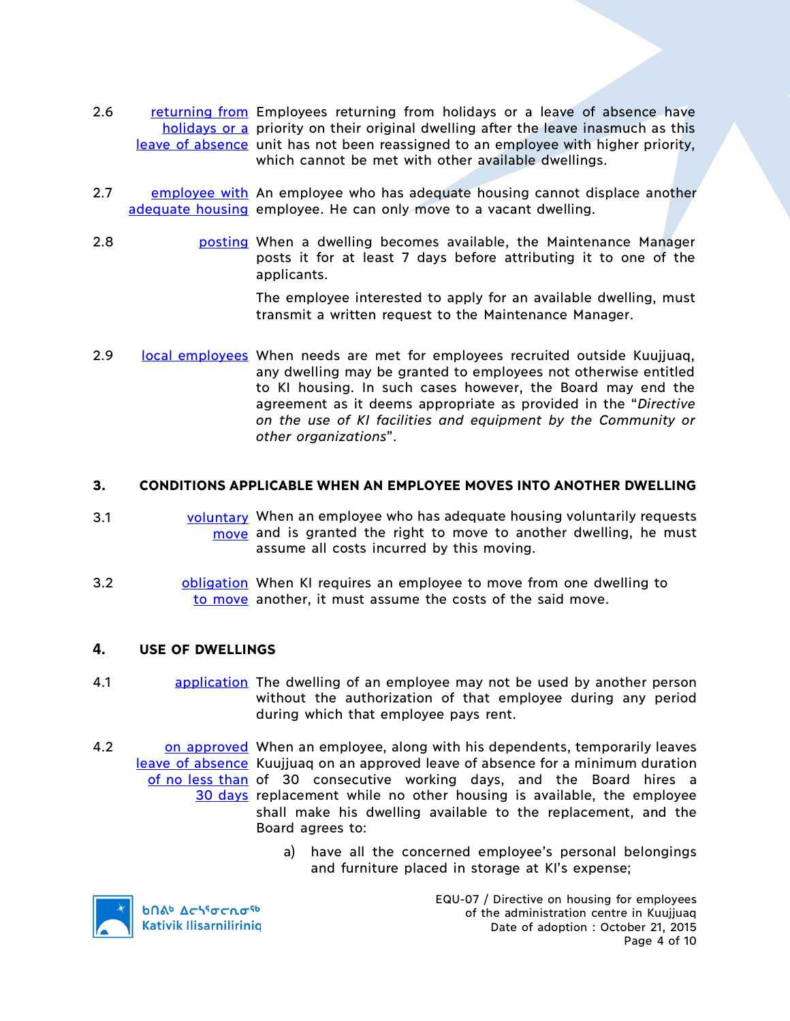- 2.6 returning from Employees returning from holidays or a leave of absence have holidays or a priority on their original dwelling after the leave inasmuch as this leave of absence unit has not been reassigned to an employee with higher priority, which cannot be met with other available dwellings.
- 2.7 employee with An employee who has adequate housing cannot displace another adequate housing employee. He can only move to a vacant dwelling.
- 2.8 posting When a dwelling becomes available, the Maintenance Manager posts it for at least 7 days before attributing it to one of the applicants.

The employee interested to apply for an available dwelling, must transmit a written request to the Maintenance Manager.

2.9 local employees When needs are met for employees recruited outside Kuujjuaq, any dwelling may be granted to employees not otherwise entitled to KI housing. In such cases however, the Board may end the agreement as it deems appropriate as provided in the "*Directive on the use of KI facilities and equipment by the Community or other organizations*".

## **3. CONDITIONS APPLICABLE WHEN AN EMPLOYEE MOVES INTO ANOTHER DWELLING**

- 3.1 voluntary When an employee who has adequate housing voluntarily requests move and is granted the right to move to another dwelling, he must assume all costs incurred by this moving.
- 3.2 **bligation** When KI requires an employee to move from one dwelling to to move another, it must assume the costs of the said move.

#### **4. USE OF DWELLINGS**

- 4.1 application The dwelling of an employee may not be used by another person without the authorization of that employee during any period during which that employee pays rent.
- 4.2 on approved When an employee, along with his dependents, temporarily leaves leave of absence Kuujjuaq on an approved leave of absence for a minimum duration of no less than of 30 consecutive working days, and the Board hires a 30 days replacement while no other housing is available, the employee shall make his dwelling available to the replacement, and the Board agrees to:
	- a) have all the concerned employee's personal belongings and furniture placed in storage at KI's expense;



**b**በል<sup>b</sup>  $\Delta$ ch<sup>s</sup>σcnσ<sup>sb</sup> **Kativik Ilisarniliriniq**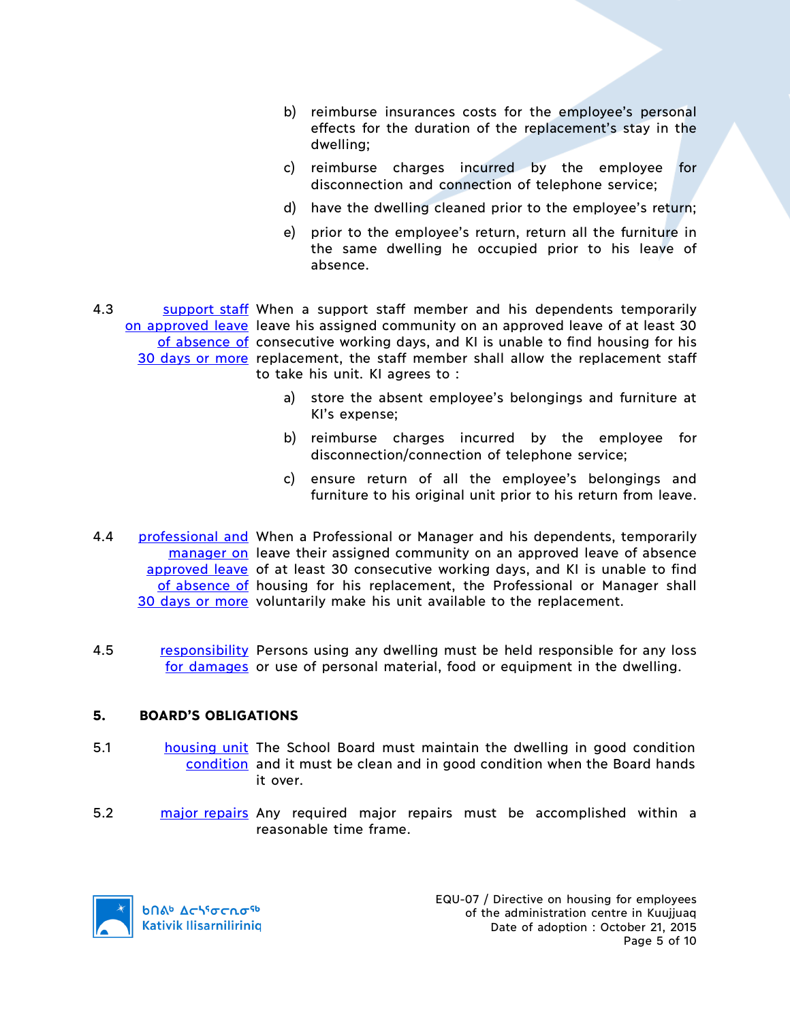- b) reimburse insurances costs for the employee's personal effects for the duration of the replacement's stay in the dwelling;
- c) reimburse charges incurred by the employee for disconnection and connection of telephone service;
- d) have the dwelling cleaned prior to the employee's return;
- e) prior to the employee's return, return all the furniture in the same dwelling he occupied prior to his leave of absence.
- 4.3 Support staff When a support staff member and his dependents temporarily on approved leave leave his assigned community on an approved leave of at least 30 of absence of consecutive working days, and KI is unable to find housing for his 30 days or more replacement, the staff member shall allow the replacement staff to take his unit. KI agrees to :
	- a) store the absent employee's belongings and furniture at KI's expense;
	- b) reimburse charges incurred by the employee for disconnection/connection of telephone service;
	- c) ensure return of all the employee's belongings and furniture to his original unit prior to his return from leave.
- 4.4 **professional and When a Professional or Manager and his dependents, temporarily** manager on leave their assigned community on an approved leave of absence approved leave of at least 30 consecutive working days, and KI is unable to find of absence of housing for his replacement, the Professional or Manager shall 30 days or more voluntarily make his unit available to the replacement.
- 4.5 responsibility Persons using any dwelling must be held responsible for any loss for damages or use of personal material, food or equipment in the dwelling.

## **5. BOARD'S OBLIGATIONS**

- 5.1 **housing unit The School Board must maintain the dwelling in good condition** condition and it must be clean and in good condition when the Board hands it over.
- 5.2 major repairs Any required major repairs must be accomplished within a reasonable time frame.

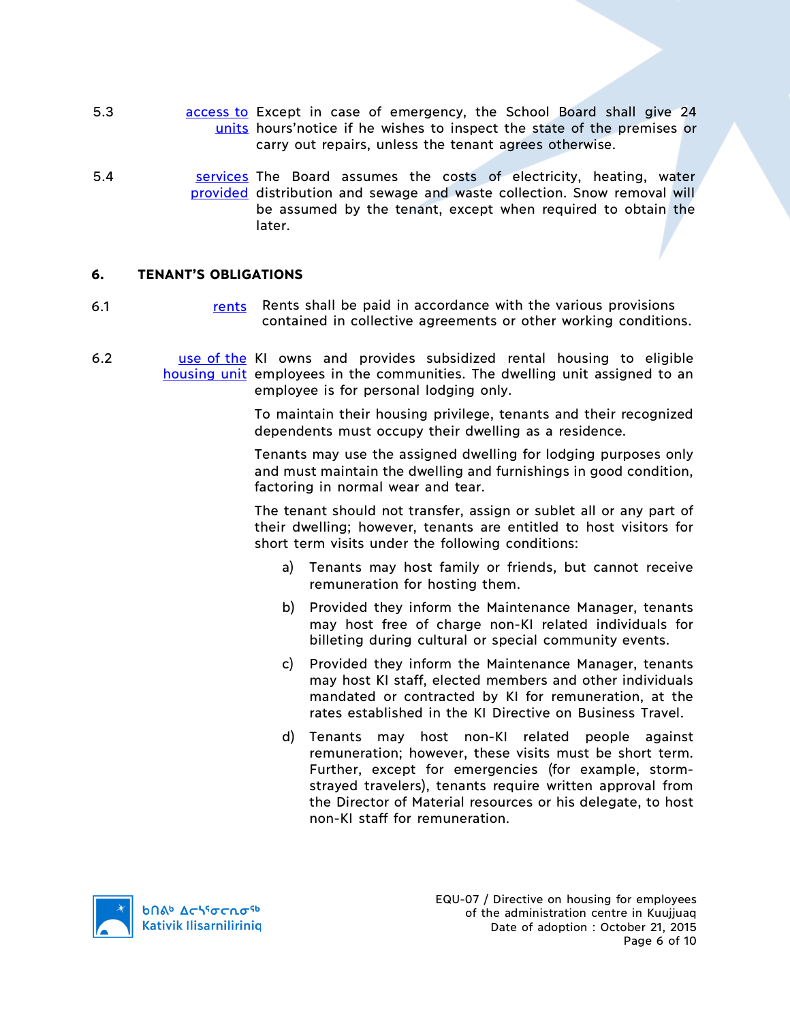- 5.3 **business access to Except in case of emergency, the School Board shall give 24** units hours'notice if he wishes to inspect the state of the premises or carry out repairs, unless the tenant agrees otherwise.
- 5.4 **Sale Services** The Board assumes the costs of electricity, heating, water provided distribution and sewage and waste collection. Snow removal will be assumed by the tenant, except when required to obtain the later.

#### **6. TENANT'S OBLIGATIONS**

- 6.1 rents Rents shall be paid in accordance with the various provisions contained in collective agreements or other working conditions.
- 6.2 **use of the KI** owns and provides subsidized rental housing to eligible housing unit employees in the communities. The dwelling unit assigned to an employee is for personal lodging only.

To maintain their housing privilege, tenants and their recognized dependents must occupy their dwelling as a residence.

Tenants may use the assigned dwelling for lodging purposes only and must maintain the dwelling and furnishings in good condition, factoring in normal wear and tear.

The tenant should not transfer, assign or sublet all or any part of their dwelling; however, tenants are entitled to host visitors for short term visits under the following conditions:

- a) Tenants may host family or friends, but cannot receive remuneration for hosting them.
- b) Provided they inform the Maintenance Manager, tenants may host free of charge non-KI related individuals for billeting during cultural or special community events.
- c) Provided they inform the Maintenance Manager, tenants may host KI staff, elected members and other individuals mandated or contracted by KI for remuneration, at the rates established in the KI Directive on Business Travel.
- d) Tenants may host non-KI related people against remuneration; however, these visits must be short term. Further, except for emergencies (for example, stormstrayed travelers), tenants require written approval from the Director of Material resources or his delegate, to host non-KI staff for remuneration.

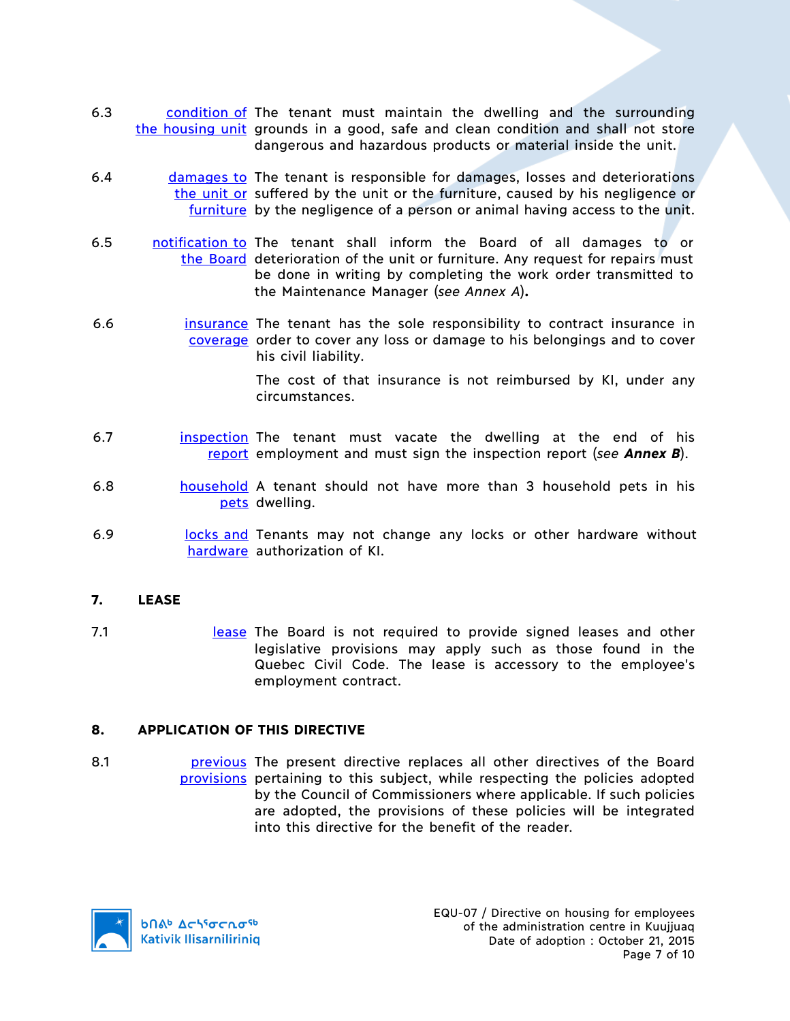- 6.3 condition of The tenant must maintain the dwelling and the surrounding the housing unit grounds in a good, safe and clean condition and shall not store dangerous and hazardous products or material inside the unit.
- 6.4 damages to The tenant is responsible for damages, losses and deteriorations the unit or suffered by the unit or the furniture, caused by his negligence or furniture by the negligence of a person or animal having access to the unit.
- 6.5 notification to The tenant shall inform the Board of all damages to or the Board deterioration of the unit or furniture. Any request for repairs must be done in writing by completing the work order transmitted to the Maintenance Manager (*see Annex A*)**.**
- 6.6 **insurance** The tenant has the sole responsibility to contract insurance in coverage order to cover any loss or damage to his belongings and to cover his civil liability.

The cost of that insurance is not reimbursed by KI, under any circumstances.

- 6.7 **inspection** The tenant must vacate the dwelling at the end of his report employment and must sign the inspection report (*see Annex B*).
- 6.8 household A tenant should not have more than 3 household pets in his pets dwelling.
- 6.9 **locks and Tenants may not change any locks or other hardware without** hardware authorization of KI.

## **7. LEASE**

7.1 **In allease** The Board is not required to provide signed leases and other legislative provisions may apply such as those found in the Quebec Civil Code. The lease is accessory to the employee's employment contract.

## **8. APPLICATION OF THIS DIRECTIVE**

8.1 **previous** The present directive replaces all other directives of the Board provisions pertaining to this subject, while respecting the policies adopted by the Council of Commissioners where applicable. If such policies are adopted, the provisions of these policies will be integrated into this directive for the benefit of the reader.

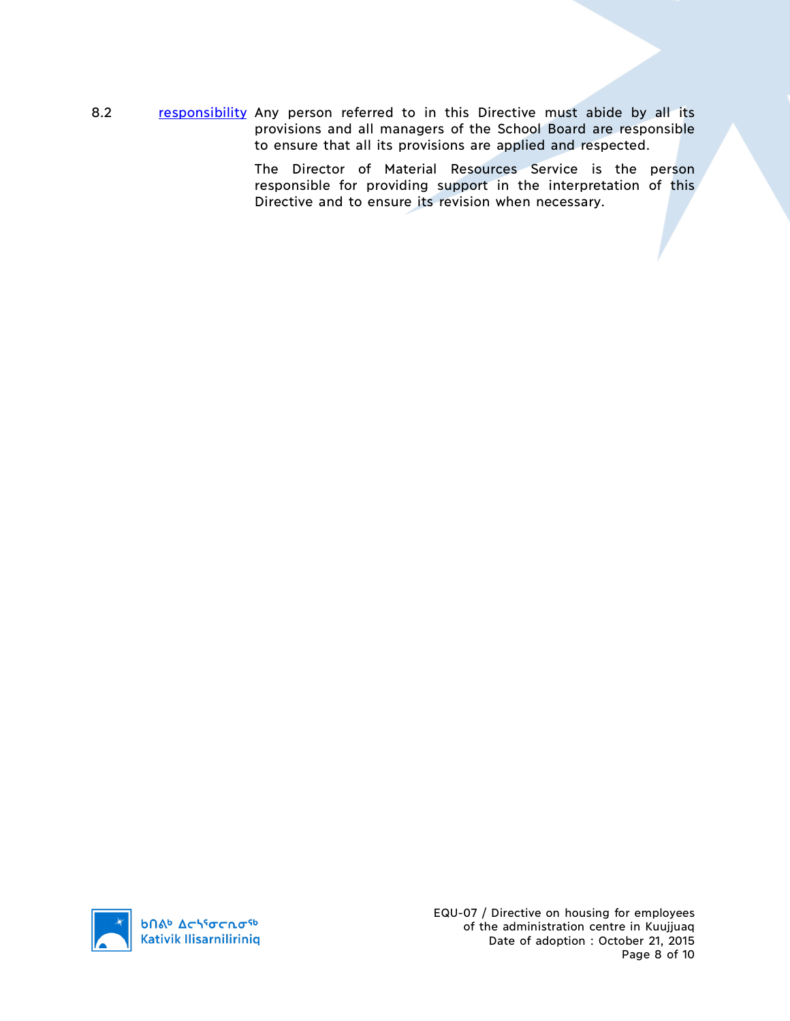8.2 responsibility Any person referred to in this Directive must abide by all its provisions and all managers of the School Board are responsible to ensure that all its provisions are applied and respected.

> The Director of Material Resources Service is the person responsible for providing support in the interpretation of this Directive and to ensure its revision when necessary.

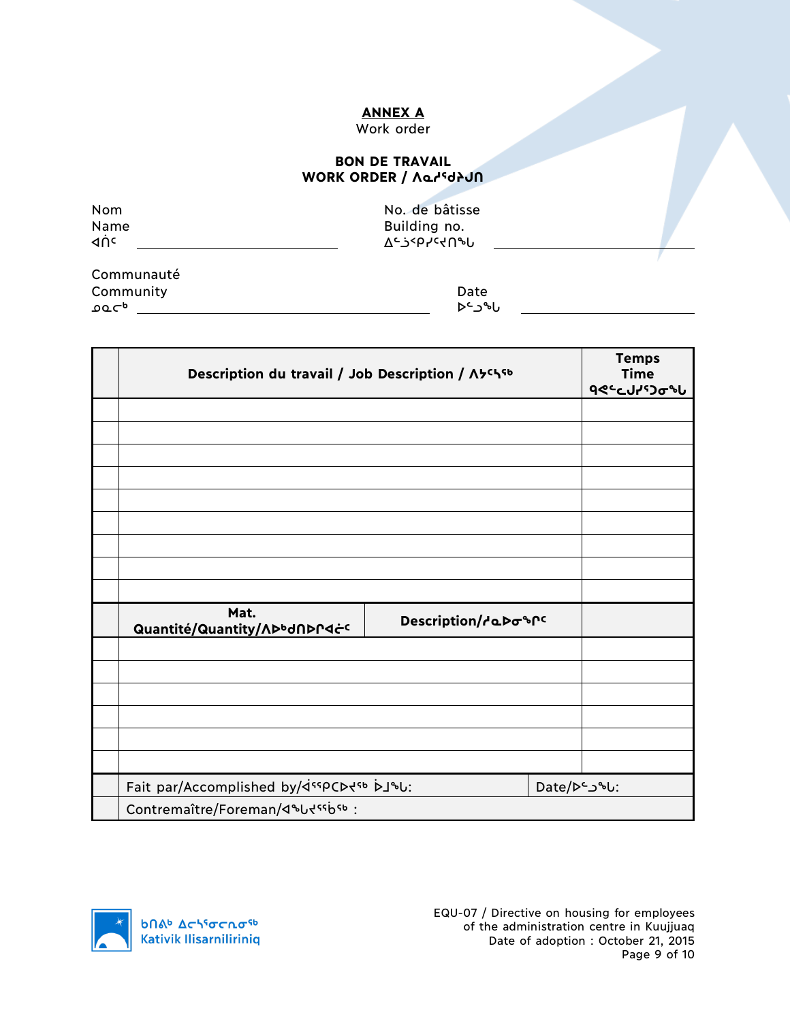## **ANNEX A**

# Work order

#### **BON DE TRAVAIL** WORK ORDER / *Norkiel*

| Nom<br>Name<br>⊲ņc | No. de bâtisse<br>Building no.<br><u>ገ<sub>ሩ</sub>ን&lt;</u> bኣራሩሀჅቦ |  |
|--------------------|---------------------------------------------------------------------|--|
| Communauté         |                                                                     |  |

**Community** Date Date ᓄᓇᓕᒃ ᐅᓪᓗᖓ

| Description du travail / Job Description / A5chsb                                                          |                     |              | <b>Temps</b><br><b>Time</b><br><b>٩</b> ٩٩ - ٩٩ - ٩٩ |
|------------------------------------------------------------------------------------------------------------|---------------------|--------------|------------------------------------------------------|
|                                                                                                            |                     |              |                                                      |
|                                                                                                            |                     |              |                                                      |
|                                                                                                            |                     |              |                                                      |
|                                                                                                            |                     |              |                                                      |
|                                                                                                            |                     |              |                                                      |
|                                                                                                            |                     |              |                                                      |
|                                                                                                            |                     |              |                                                      |
|                                                                                                            |                     |              |                                                      |
|                                                                                                            |                     |              |                                                      |
| Mat.<br>Quantité/Quantity/ADbdADPdċc                                                                       | Description/debospc |              |                                                      |
|                                                                                                            |                     |              |                                                      |
|                                                                                                            |                     |              |                                                      |
|                                                                                                            |                     |              |                                                      |
|                                                                                                            |                     |              |                                                      |
|                                                                                                            |                     |              |                                                      |
|                                                                                                            |                     |              |                                                      |
| Fait par/Accomplished by/ <ispcd<sb bj%u:<="" th=""><th></th><th>Date/De_J&amp;U:</th><th></th></ispcd<sb> |                     | Date/De_J&U: |                                                      |
| Contremaître/Foreman/4&Udssbsb:                                                                            |                     |              |                                                      |

**b**Πል<sup>b</sup> Δςιγσς πα<sup>ςb</sup> **Kativik Ilisarniliriniq**